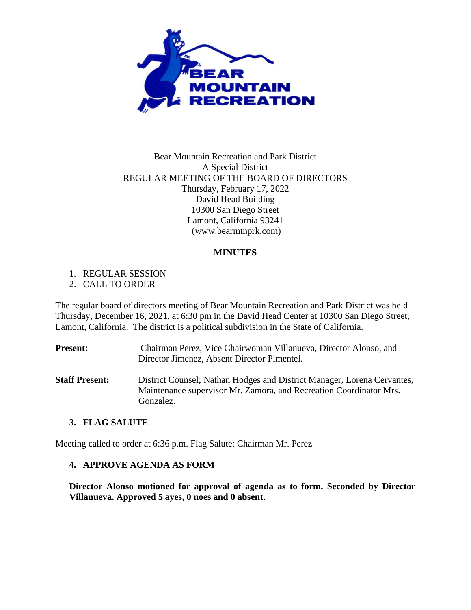

## Bear Mountain Recreation and Park District A Special District REGULAR MEETING OF THE BOARD OF DIRECTORS Thursday, February 17, 2022 David Head Building 10300 San Diego Street Lamont, California 93241 (www.bearmtnprk.com)

## **MINUTES**

1. REGULAR SESSION

2. CALL TO ORDER

The regular board of directors meeting of Bear Mountain Recreation and Park District was held Thursday, December 16, 2021, at 6:30 pm in the David Head Center at 10300 San Diego Street, Lamont, California. The district is a political subdivision in the State of California.

**Present:** Chairman Perez, Vice Chairwoman Villanueva, Director Alonso, and Director Jimenez, Absent Director Pimentel. **Staff Present:** District Counsel; Nathan Hodges and District Manager, Lorena Cervantes, Maintenance supervisor Mr. Zamora, and Recreation Coordinator Mrs. Gonzalez.

#### **3. FLAG SALUTE**

Meeting called to order at 6:36 p.m. Flag Salute: Chairman Mr. Perez

#### **4. APPROVE AGENDA AS FORM**

**Director Alonso motioned for approval of agenda as to form. Seconded by Director Villanueva. Approved 5 ayes, 0 noes and 0 absent.**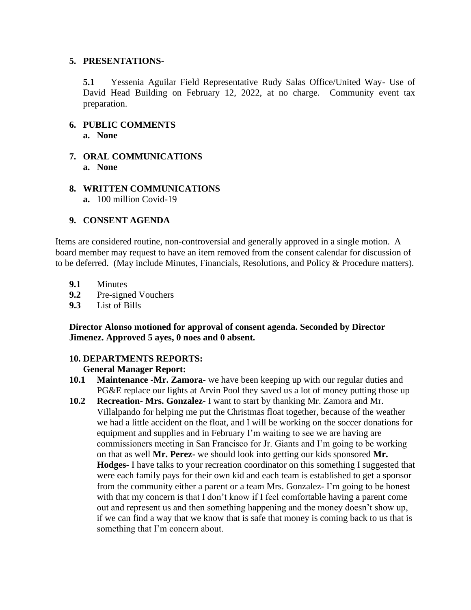#### **5. PRESENTATIONS-**

**5.1** Yessenia Aguilar Field Representative Rudy Salas Office/United Way- Use of David Head Building on February 12, 2022, at no charge. Community event tax preparation.

- **6. PUBLIC COMMENTS a. None**
- **7. ORAL COMMUNICATIONS a. None**
- **8. WRITTEN COMMUNICATIONS a.** 100 million Covid-19

## **9. CONSENT AGENDA**

Items are considered routine, non-controversial and generally approved in a single motion. A board member may request to have an item removed from the consent calendar for discussion of to be deferred. (May include Minutes, Financials, Resolutions, and Policy & Procedure matters).

- **9.1** Minutes
- **9.2** Pre-signed Vouchers
- **9.3** List of Bills

**Director Alonso motioned for approval of consent agenda. Seconded by Director Jimenez. Approved 5 ayes, 0 noes and 0 absent.**

#### **10. DEPARTMENTS REPORTS:**

#### **General Manager Report:**

- **10.1 Maintenance -Mr. Zamora-** we have been keeping up with our regular duties and PG&E replace our lights at Arvin Pool they saved us a lot of money putting those up
- **10.2 Recreation- Mrs. Gonzalez-** I want to start by thanking Mr. Zamora and Mr. Villalpando for helping me put the Christmas float together, because of the weather we had a little accident on the float, and I will be working on the soccer donations for equipment and supplies and in February I'm waiting to see we are having are commissioners meeting in San Francisco for Jr. Giants and I'm going to be working on that as well **Mr. Perez-** we should look into getting our kids sponsored **Mr. Hodges-** I have talks to your recreation coordinator on this something I suggested that were each family pays for their own kid and each team is established to get a sponsor from the community either a parent or a team Mrs. Gonzalez- I'm going to be honest with that my concern is that I don't know if I feel comfortable having a parent come out and represent us and then something happening and the money doesn't show up, if we can find a way that we know that is safe that money is coming back to us that is something that I'm concern about.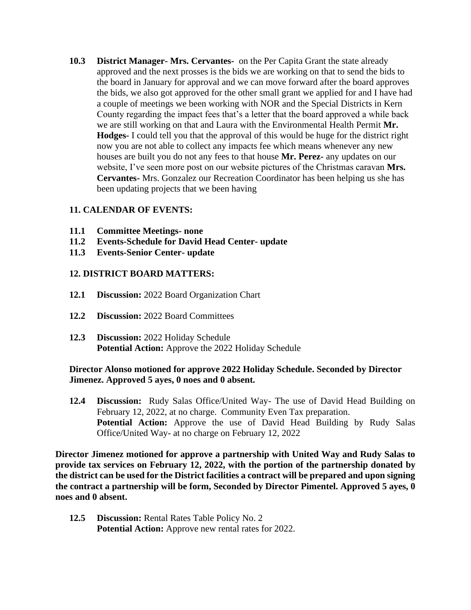**10.3 District Manager- Mrs. Cervantes-** on the Per Capita Grant the state already approved and the next prosses is the bids we are working on that to send the bids to the board in January for approval and we can move forward after the board approves the bids, we also got approved for the other small grant we applied for and I have had a couple of meetings we been working with NOR and the Special Districts in Kern County regarding the impact fees that's a letter that the board approved a while back we are still working on that and Laura with the Environmental Health Permit **Mr. Hodges-** I could tell you that the approval of this would be huge for the district right now you are not able to collect any impacts fee which means whenever any new houses are built you do not any fees to that house **Mr. Perez-** any updates on our website, I've seen more post on our website pictures of the Christmas caravan **Mrs. Cervantes-** Mrs. Gonzalez our Recreation Coordinator has been helping us she has been updating projects that we been having

## **11. CALENDAR OF EVENTS:**

- **11.1 Committee Meetings- none**
- **11.2 Events-Schedule for David Head Center- update**
- **11.3 Events-Senior Center- update**

#### **12. DISTRICT BOARD MATTERS:**

- **12.1 Discussion:** 2022 Board Organization Chart
- **12.2 Discussion:** 2022 Board Committees
- **12.3 Discussion:** 2022 Holiday Schedule **Potential Action:** Approve the 2022 Holiday Schedule

#### **Director Alonso motioned for approve 2022 Holiday Schedule. Seconded by Director Jimenez. Approved 5 ayes, 0 noes and 0 absent.**

**12.4 Discussion:** Rudy Salas Office/United Way- The use of David Head Building on February 12, 2022, at no charge. Community Even Tax preparation. **Potential Action:** Approve the use of David Head Building by Rudy Salas Office/United Way- at no charge on February 12, 2022

**Director Jimenez motioned for approve a partnership with United Way and Rudy Salas to provide tax services on February 12, 2022, with the portion of the partnership donated by the district can be used for the District facilities a contract will be prepared and upon signing the contract a partnership will be form, Seconded by Director Pimentel. Approved 5 ayes, 0 noes and 0 absent.**

**12.5 Discussion:** Rental Rates Table Policy No. 2 **Potential Action:** Approve new rental rates for 2022.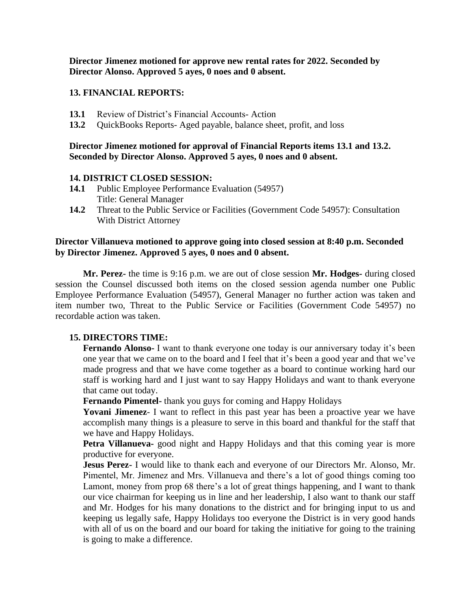**Director Jimenez motioned for approve new rental rates for 2022. Seconded by Director Alonso. Approved 5 ayes, 0 noes and 0 absent.**

#### **13. FINANCIAL REPORTS:**

- **13.1** Review of District's Financial Accounts- Action
- **13.2** QuickBooks Reports- Aged payable, balance sheet, profit, and loss

## **Director Jimenez motioned for approval of Financial Reports items 13.1 and 13.2. Seconded by Director Alonso. Approved 5 ayes, 0 noes and 0 absent.**

#### **14. DISTRICT CLOSED SESSION:**

- **14.1** Public Employee Performance Evaluation (54957) Title: General Manager
- **14.2** Threat to the Public Service or Facilities (Government Code 54957): Consultation With District Attorney

#### **Director Villanueva motioned to approve going into closed session at 8:40 p.m. Seconded by Director Jimenez. Approved 5 ayes, 0 noes and 0 absent.**

**Mr. Perez-** the time is 9:16 p.m. we are out of close session **Mr. Hodges-** during closed session the Counsel discussed both items on the closed session agenda number one Public Employee Performance Evaluation (54957), General Manager no further action was taken and item number two, Threat to the Public Service or Facilities (Government Code 54957) no recordable action was taken.

#### **15. DIRECTORS TIME:**

**Fernando Alonso-** I want to thank everyone one today is our anniversary today it's been one year that we came on to the board and I feel that it's been a good year and that we've made progress and that we have come together as a board to continue working hard our staff is working hard and I just want to say Happy Holidays and want to thank everyone that came out today.

**Fernando Pimentel-** thank you guys for coming and Happy Holidays

Yovani **Jimenez**- I want to reflect in this past year has been a proactive year we have accomplish many things is a pleasure to serve in this board and thankful for the staff that we have and Happy Holidays.

**Petra Villanueva-** good night and Happy Holidays and that this coming year is more productive for everyone.

**Jesus Perez-** I would like to thank each and everyone of our Directors Mr. Alonso, Mr. Pimentel, Mr. Jimenez and Mrs. Villanueva and there's a lot of good things coming too Lamont, money from prop 68 there's a lot of great things happening, and I want to thank our vice chairman for keeping us in line and her leadership, I also want to thank our staff and Mr. Hodges for his many donations to the district and for bringing input to us and keeping us legally safe, Happy Holidays too everyone the District is in very good hands with all of us on the board and our board for taking the initiative for going to the training is going to make a difference.